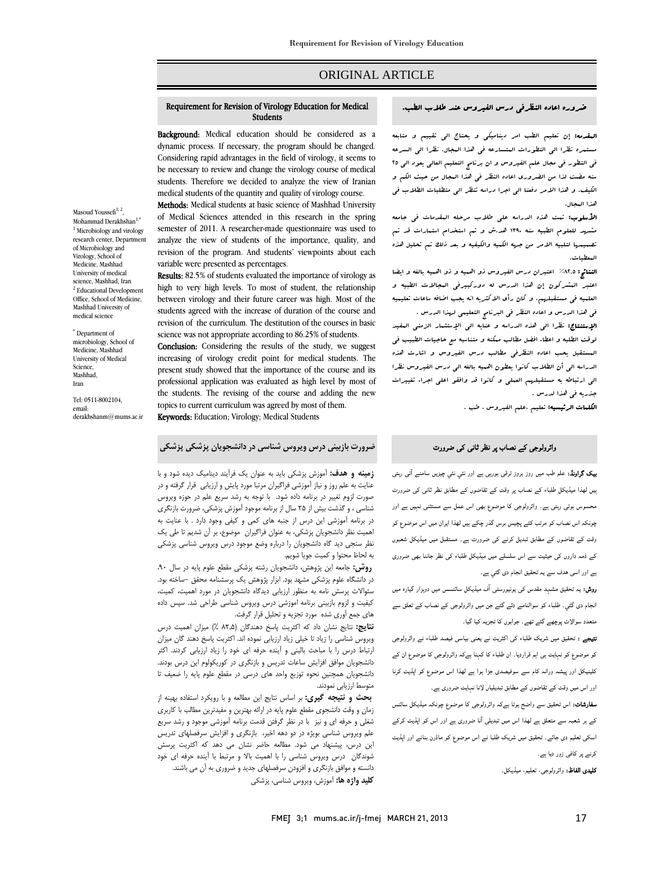# ORIGINAL ARTICLE

#### ضروره اعاده النظرفي درس الفيروس عند طلاب الطب. Requirement for Revision of Virology Education for Medical<br>المستخدمات Requirement for Revision of Virology Education for Medical Students

Ī 

Background: Medical education should be considered as a dynamic process. If necessary, the program should be changed. Considering rapid advantages in the field of virology, it seems to be necessary to review and change the virology course of medical students. Therefore we decided to analyze the view of Iranian medical students of the quantity and quality of virology course.

 Methods: Medical students at basic science of Mashhad University of Medical Sciences attended in this research in the spring semester of 2011. A researcher-made questionnaire was used to analyze the view of students of the importance, quality, and<br>revision of the program. And students' viewpoints about each analyze the view of students of the importance, quality, and variable were presented as percentages.

Results: 82.5% of students evaluated the importance of virology as high to very high levels. To most of student, the relationship students agreed with the increase of duration of the course and revision of the curriculum. The destitution of the courses in basic science was not appropriate according to 86.25% of students. between virology and their future career was high. Most of the

**Conclusion:** Considering the results of the study, we suggest present study showed that the importance of the course and its professional application was evaluated as high level by most of the students. The revising of the course and adding the new repres to current curriculum was agreed by most current<br>**Keywords:** Education; Virology; Medical Students increasing of virology credit point for medical students. The topics to current curriculum was agreed by most of them.

J **ضرورت بازبيني درس ويروس شناسي در دانشجويان پزشكي پزشكي**

Masoud Youssefi<sup>1, 2</sup>, Mohammad Derakhshan<sup>1,\*</sup> <sup>1</sup> Microbiology and virology research center, Department of Microbiology and Virology, School of Medicine, Mashhad University of medical science, Mashhad, Iran <sup>2</sup> Educational Development Office, School of Medicine, Mashhad University of medical science

\* Department of microbiology, School of Medicine, Mashhad University of Medical Science, Mashhad, Iran

Tel: 0511-8002104, email: derakhshanm@mums.ac.ir

> **زمينه و هدف:** آموزش پزشكي بايد به عنوان يك فرآيند ديناميك ديده شود و با عنايت به علم روز و نياز آموزشي فراگيران مرتبا مورد پايش و ارزيابي قرار گرفته و در صورت لزوم تغيير در برنامه داده شود. با توجه به رشد سريع علم در حوزه ويروس ستسی . و حسب پیش ٫٫ سه سان ٫٫ برنسا موجود مورس پرسایی. صرورت بازمری<br>در برنامه آموزشی این درس از جنبه های کمی و کیفی وجود دارد . با عنایت به اهميت نظر دانشجويان پزشكي، به عنوان فراگيران موضوع، بر آن شديم تا طي يك نظر سنجي ديد گاه دانشجويان را درباره وضع موجود درس ويروس شناسي پزشكي شناسي ، و گذشت بيش از 25 سال از برنامه موجود آموزش پزشكي، ضرورت بازنگري

به لحاظ محتوا و كميت جويا شويم.<br>شمم استعاد مشهور در دانشگاه علوم پزشكي مشهد بود. ابزار پژوهش يك پرسشنامه محقق -ساخته بود. سئوالات پرسش نامه به منظور ارزيابي ديدگاه دانشجويان در مورد اهميت، كميت، كيفيت و لزوم بازبيني برنامه اموزشي درس ويروس شناسي طراحي شد. سپس داده **روش:** جامعه اين پژوهش، دانشجويان رشته پزشكي مقطع علوم پايه در سال ،90 هاي جمع آوري شده مورد تجزيه و تحليل قرار گرفت.

 **نتايج:** نتايج نشان داد كه اكثريت پاسخ دهندگان (82,5 %) ميزان اهميت درس ويروس شناسي را زياد تا خيلي زياد ارزيابي نموده اند. اكثريت پاسخ دهند گان ميزان ارتباط درس را با مباحث باليني و آينده حرفه اي خود را زياد ارزيابي كردند. اكثر دانشجويان موافق افزايش ساعات تدريس و بازنگري در كوريكولوم اين درس بودند. دانشجويان همچنين نحوه توزيع واحد هاي درسي در مقطع علوم پايه را ضعيف تا<br>متعدما لبنياب نمودند متوسط ارزيابي نمودند.

 **بحث و نتيجه گيري:** بر اساس نتايج اين مطالعه و با رويكرد استفاده بهينه از زمان و وقت دانشجوي مقطع علوم پايه در ارائه بهترين و مفيدترين مطالب با كاربري شغلي و حرفه اي و نيز با در نظر گرفتن قدمت برنامه آموزشي موجود و رشد سريع اسم ويروس سيسي بوير- در دو سيسي بيربر ابورسري و مرتبس سرسينهاي سريس<br>اين درس، پيشنهاد مي شود. مطالعه حاضر نشان مي دهد كه اكثريت پرسش شوندگان درس ويروس شناسي را با اهميت بالا و مرتبط با آينده حرفه اي خود دانسته و موافق بازنگری و افزودن سرفصلهای جدید و ضروری به آن می باشند.<br>- **كليد واژه ها:** آموزش، ويروس شناسي، پزشكي علم ويروس شناسي بويژه در دو دهه اخير، بازنگري و افزايش سرفصلهاي تدريس

Ī 

ا**لبقدمه:** إن تعليم الطب امر ديناميكي و يحتاج الي تقييم و متابعه<br>. مستمره نظرا الي التطورات المتسارعه في هذا البجال. نظرا الي السرعه<br>. س مساور من مسبح مشترک علم مضروري مساور من حيث الله من حيث الكم و<br>سنه مضت لذا من الضروري اعاده النظر في هذا البجال من حيث الكم و الكيف. و هذا الامر دفعنا الي اجرا دراسه تنظر الي متطلبات الطلاب في في التطور في مجال علم الفيروس و ان برنامج التعليم العالي يعود الي 25 هذا المجال.

ا**لأسلوب:** تمت هذه الدراسه على طلاب مرحله المقدمات ف<sub>ى</sub> جامعه مشهد للعلوم الطبيه سنه 1390 هد.ش و تم استخدام استمارات قد تم تصميمها لتلبيه الامر من جهه الكميه والكيفيه و بعد ذلك تم تحليل هذه المعطيات.

ا**لنتائج:** ۸۲٫۵٪ اعتبران درس الفيروس ذو اهبيه و ذو اهبيه بالغه و ايضا اعتبر البشركون إن هذا الدرس له دوركبيرفي البجالات الطبيه و<br>-مسعيد في مستقبلهم، لا عن ربح الامتلاك التي يقيب العام التالي .<br>في هذا الدرس و اعاده النظر في البرنامج التعليمي لهذا الدرس . العلميه في مستقبلهم. و كان رأي الاكثريه انه يجب اضافه ساعات تعليميه

ى<br>**الإستنتاج:** نظرا ال<sub>ى</sub> هذه الدراسه و عنايه ال<sub>ى</sub> الإستثمار الزمنى المفيد لوقت الطلبه و اعطاء افضل مطالب ممكنه و متناسبه مع حاجيات الطبيب في المستقبل يحب اعاده النظرفي مطالب درس الفيروس و اشارت هذه الدراسه الي أن الطلاب كانوا يعطون اهميه بالغه الي درس الفيروس نظرا الي ارتباطه به مستقبلهم العملي و كانوا قد وافقو اعلي اجراء تغييرات جذريه في هذا لدرس .

<mark>الكلمات الرئيسيه:</mark> تعليم ،علم الفيروس ، طب .

# $\overline{\phantom{a}}$ وائرولوجی کے نصاب پر نظر ثانی کی ضرورت

 بیک گراونڈ: علم طب میں روز بروز ترقی ہورہی ہے اور نئي نئي چیزیں سامنے آتی رہتی ہیں لھذا میڈیکل طلباء کے نصاب پر وقت کے تقاضوں کے مطابق نظر ثانی کی ضرورت محسوس ہوتی رہتی ہے۔ وائرولوجی کا موضوع بھی اس عمل سے مستثنی نہیں ہے اور چونکہ اس نصاب کو مرتب کئے پچيس برس گذر چکے ہیں لھذا ایران میں اس موضوع کو Í وقت کے تقاضوں کے مطابق تبدیل کرنے کی ضرورت ہے۔ مستقبل میں میڈیکل شعبوں کے ذمہ داروں کی حیثیت سے اس سلسلے میں میڈیکل طلباء کی نظر جاننا بھی ضروری ہے اور اسی ھدف سے یہ تحقیق انجام دی گئي ہے۔

 روش: یہ تحقیق مشہد مقدس کی یونیورسٹی آف میڈیکل سائنسس میں دوہزار گيارہ میں انجام دی گئي۔ طلباء کو سوالنامے دئے گئے جن میں وائرولوجی کے نصاب کے تعلق سے متعدد سوالات پوچھے گئے تھے۔ جوابوں کا تجزیہ کیا گيا۔

۔<br>**نتیجے :** تحقیق میں شریک طلباء کی اکثریت نے یعنی بیاسی فیصد طلباء نے وائرولوجی کو موضوع کو نہایت ہی اہم قراردیا۔ ان طلباء کا کہنا ہےکہ وائرولوجی کا موضوع ان کے کلینیکل اور پیشہ ورانہ کام سے سوفیصدی جڑا ہوا ہے لھذا اس موضوع کو اپڈیٹ کرنا اور اس میں وقت کے تقاضوں کے مطابق تبدیلیاں لانا نہایت ضروری ہے۔

**سفارشات:** اس تحقیق سے واضح ہوتا ہےکہ وائرولوجی کا موضوع چونکہ میڈیکل سائنس<br>۔ کے ہر شعبہ سے متعلق ہے لھذا اس میں تبدیلی آنا ضروری ہے اور اس کو اپڈیٹ کرکے اسکی تعلیم دی جائے۔ تحقیق میں شریک طلبا نے اس موضوع کو ماڈرن بنانے اور اپڈیٹ کرنے پر کافی زور دیا ہے۔

**کلیدی الفاظ:** وائرولوجی، تعلیم، میڈیکل۔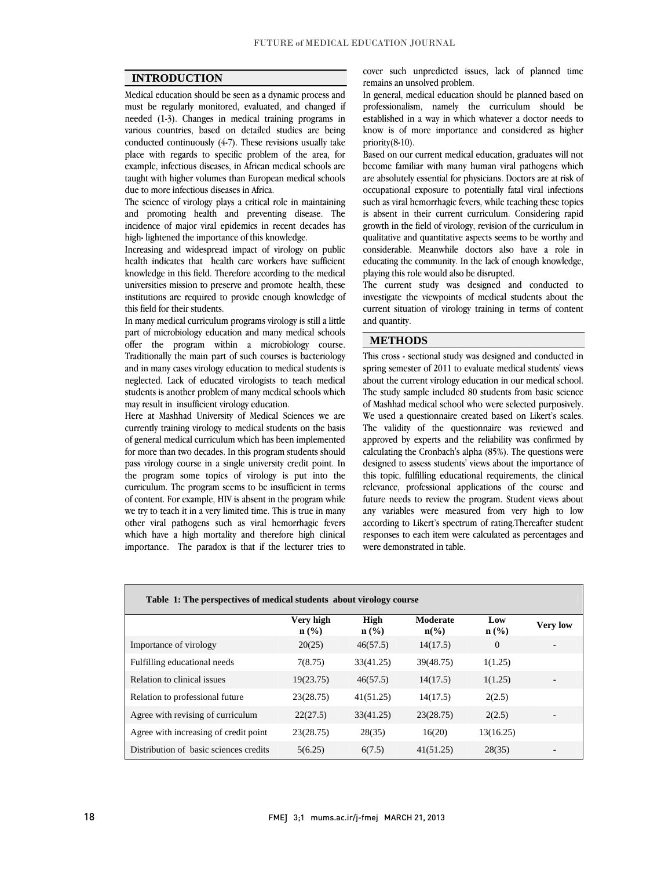$\overline{a}$  $\overline{a}$ 

# **INTRODUCTION**

 Medical education should be seen as a dynamic process and must be regularly monitored, evaluated, and changed if various countries, based on detailed studies are being conducted continuously  $(4-7)$ . These revisions usually take place with regards to specific problem of the area, for example, infectious diseases, in African medical schools are taught with higher volumes than European medical schools<br>due to more infectious diseases in Africa needed (1-3). Changes in medical training programs in due to more infectious diseases in Africa.

 The science of virology plays a critical role in maintaining and promoting health and preventing disease. The incidence of major viral epidemics in recent decades has high- lightened the importance of this knowledge.

 Increasing and widespread impact of virology on public health indicates that health care workers have sufficient knowledge in this field. Therefore according to the medical institutions are required to provide enough knowledge of universities mission to preserve and promote health, these this field for their students.

 In many medical curriculum programs virology is still a little part of microbiology education and many medical schools Traditionally the main part of such courses is bacteriology and in many cases virology education to medical students is neglected. Lack of educated virologists to teach medical students is another problem of many medical schools which offer the program within a microbiology course. may result in insufficient virology education.

 Here at Mashhad University of Medical Sciences we are currently training virology to medical students on the basis of general medical curriculum which has been implemented for more than two decades. In this program students should the program some topics of virology is put into the curriculum. The program seems to be insufficient in terms of content. For example, HIV is absent in the program while we try to teach it in a very limited time. This is true in many which have a high mortality and therefore high clinical importance. The paradox is that if the lecturer tries to pass virology course in a single university credit point. In other viral pathogens such as viral hemorrhagic fevers cover such unpredicted issues, lack of planned time remains an unsolved problem.

 In general, medical education should be planned based on professionalism, namely the curriculum should be know is of more importance and considered as higher established in a way in which whatever a doctor needs to priority(8-10).

 Based on our current medical education, graduates will not become familiar with many human viral pathogens which occupational exposure to potentially fatal viral infections such as viral hemorrhagic fevers, while teaching these topics is absent in their current curriculum. Considering rapid qualitative and quantitative aspects seems to be worthy and considerable. Meanwhile doctors also have a role in educating the community. In the lack of enough knowledge, are absolutely essential for physicians. Doctors are at risk of growth in the field of virology, revision of the curriculum in playing this role would also be disrupted.

playing this role would also be disrupted.<br>The current study was designed and conducted to investigate the viewpoints of medical students about the current situation of virology training in terms of content and quantity.

٦

## **METHODS**

 This cross - sectional study was designed and conducted in spring semester of 2011 to evaluate medical students' views about the current virology education in our medical school. The study sample included 80 students from basic science We used a questionnaire created based on Likert's scales. The validity of the questionnaire was reviewed and approved by experts and the reliability was confirmed by calculating the Gronbach s alpha (85%). The questions were<br>designed to assess students' views about the importance of this topic, fulfilling educational requirements, the clinical relevance, professional applications of the course and future needs to review the program. Student views about any variables were ineasured from very ingn to low<br>according to Likert's spectrum of rating.Thereafter student responses to each item were calculated as percentages and of Mashhad medical school who were selected purposively. calculating the Cronbach's alpha (85%). The questions were any variables were measured from very high to low were demonstrated in table.

| Table 1: The perspectives of medical students about virology course |                                          |                                            |                             |                         |                 |
|---------------------------------------------------------------------|------------------------------------------|--------------------------------------------|-----------------------------|-------------------------|-----------------|
|                                                                     | Very high<br>$n\left(\frac{0}{0}\right)$ | <b>High</b><br>$n\left(\frac{0}{0}\right)$ | Moderate<br>$n\binom{0}{0}$ | Low<br>$\mathbf{n}(\%)$ | <b>Very low</b> |
| Importance of virology                                              | 20(25)                                   | 46(57.5)                                   | 14(17.5)                    | $\Omega$                |                 |
| Fulfilling educational needs                                        | 7(8.75)                                  | 33(41.25)                                  | 39(48.75)                   | 1(1.25)                 |                 |
| Relation to clinical issues                                         | 19(23.75)                                | 46(57.5)                                   | 14(17.5)                    | 1(1.25)                 |                 |
| Relation to professional future                                     | 23(28.75)                                | 41(51.25)                                  | 14(17.5)                    | 2(2.5)                  |                 |
| Agree with revising of curriculum                                   | 22(27.5)                                 | 33(41.25)                                  | 23(28.75)                   | 2(2.5)                  |                 |
| Agree with increasing of credit point                               | 23(28.75)                                | 28(35)                                     | 16(20)                      | 13(16.25)               |                 |
| Distribution of basic sciences credits                              | 5(6.25)                                  | 6(7.5)                                     | 41(51.25)                   | 28(35)                  |                 |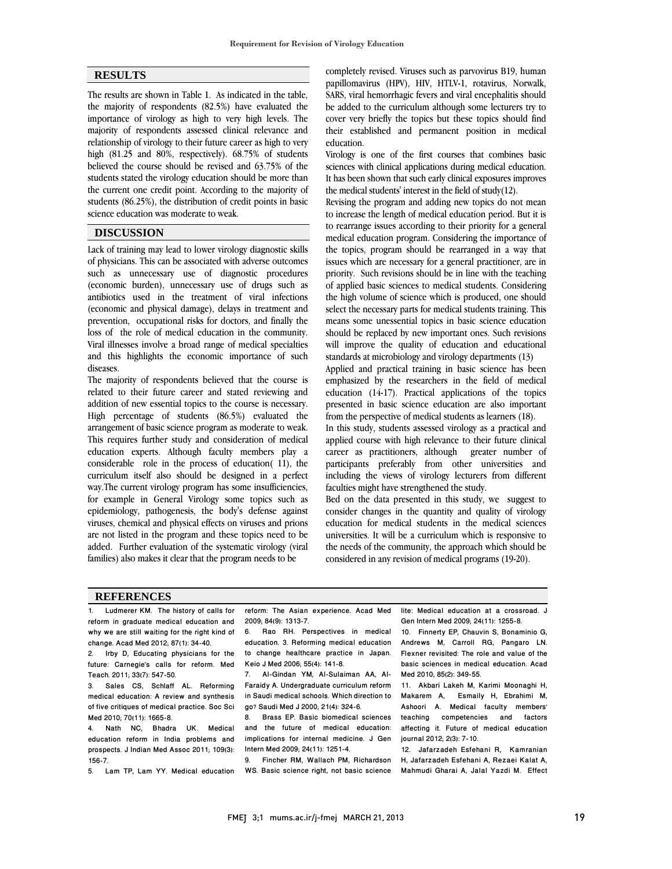$\overline{a}$  $\overline{a}$ 

### **RESULTS**

 The results are shown in Table 1. As indicated in the table, the majority of respondents (82.5%) have evaluated the miportance of virology as ingit to very ingit levels. The<br>majority of respondents assessed clinical relevance and relationship of virology to their future career as high to very high (81.25 and 80%, respectively). 68.75% of students believed the course should be revised and 63.75% of the the current one credit point. According to the majority of students (86.25%), the distribution of credit points in basic importance of virology as high to very high levels. The students stated the virology education should be more than science education was moderate to weak.

### **DISCUSSION**

 Lack of training may lead to lower virology diagnostic skills of physicians. This can be associated with adverse outcomes such as unnecessary use of diagnostic procedures antibiotics used in the treatment of viral infections (economic and physical damage), delays in treatment and prevention, occupational risks for doctors, and finally the loss of the role of medical education in the community. and this highlights the economic importance of such (economic burden), unnecessary use of drugs such as Viral illnesses involve a broad range of medical specialties diseases.

 The majority of respondents believed that the course is related to their future career and stated reviewing and High percentage of students (86.5%) evaluated the arrangement of basic science program as moderate to weak. This requires further study and consideration of medical education experts. Although faculty members play a curriculum itself also should be designed in a perfect way.The current virology program has some insufficiencies, for example in General Virology some topics such as epidemiology, pathogenesis, the body's defense against are not listed in the program and these topics need to be added. Further evaluation of the systematic virology (viral addition of new essential topics to the course is necessary. considerable role in the process of education( 11), the viruses, chemical and physical effects on viruses and prions families) also makes it clear that the program needs to be

 completely revised. Viruses such as parvovirus B19, human papillomavirus (HPV), HIV, HTLV-1, rotavirus, Norwalk, SARS, viral hemorrhagic fevers and viral encephalitis should be added to the curriculum although some lecturers try to their established and permanent position in medical cover very briefly the topics but these topics should find education.

 Virology is one of the first courses that combines basic sciences with clinical applications during medical education. It has been shown that such early clinical exposures improves<br>the medical students' interest in the field of study(12) the medical students' interest in the field of study(12).

 Revising the program and adding new topics do not mean to increase the length of medical education period. But it is to rearrange issues according to their priority for a general<br>medical education program. Considering the importance of the topics, program should be rearranged in a way that issues which are necessary for a general practitioner, are in priority. Such revisions should be in line with the teaching or applied basic sciences to incuital students. Considering<br>the high volume of science which is produced, one should select the necessary parts for medical students training. This means some unessential topics in basic science education should be replaced by new important ones. Such revisions will improve the quality of education and educational<br>standards at microbiology and virology departments (13) to rearrange issues according to their priority for a general of applied basic sciences to medical students. Considering standards at microbiology and virology departments (13)

Applied and practical training in basic science has been emphasized by the researchers in the field of medical education (14-17). Practical applications of the topics presented in basic science education are also important<br>from the perspective of medical students as learners (18) from the perspective of medical students as learners (18).

 In this study, students assessed virology as a practical and applied course with high relevance to their future clinical career as practitioners, although greater number of including the views of virology lecturers from different participants preferably from other universities and faculties might have strengthened the study.

 Bed on the data presented in this study, we suggest to education for medical students in the medical sciences universities. It will be a curriculum which is responsive to the needs of the community, the approach which should be consider changes in the quantity and quality of virology considered in any revision of medical programs (19-20).

#### **REFERENCES**

| 1. Ludmerer KM. The history of calls for       | reform: The Asian experience. Acad Med       | lite: Medical education at a crossroad. J    |
|------------------------------------------------|----------------------------------------------|----------------------------------------------|
| reform in graduate medical education and       | 2009; 84(9): 1313-7.                         | Gen Intern Med 2009; 24(11): 1255-8.         |
| why we are still waiting for the right kind of | Rao RH. Perspectives in medical<br>6.        | 10. Finnerty EP, Chauvin S, Bonaminio G,     |
| change. Acad Med 2012; 87(1): 34-40.           | education. 3. Reforming medical education    | Andrews M. Carroll RG. Pangaro LN.           |
| 2. Irby D, Educating physicians for the        | to change healthcare practice in Japan.      | Flexner revisited: The role and value of the |
| future: Carnegie's calls for reform. Med       | Keio J Med 2006; 55(4): 141-8.               | basic sciences in medical education. Acad    |
| Teach. 2011; 33(7): 547-50.                    | 7. Al-Gindan YM, Al-Sulaiman AA, Al-         | Med 2010; 85(2): 349-55.                     |
| 3. Sales CS, Schlaff AL. Reforming             | Faraidy A. Undergraduate curriculum reform   | 11. Akbari Lakeh M, Karimi Moonaghi H,       |
| medical education: A review and synthesis      | in Saudi medical schools. Which direction to | Makarem A, Esmaily H, Ebrahimi M,            |
| of five critiques of medical practice. Soc Sci | go? Saudi Med J 2000; 21(4): 324-6.          | Ashoori A. Medical faculty members'          |
| Med 2010; 70(11): 1665-8.                      | Brass EP. Basic biomedical sciences<br>8.    | teaching competencies and factors            |
| 4. Nath NC, Bhadra UK.<br>Medical              | and the future of medical education:         | affecting it. Future of medical education    |
| education reform in India problems and         | implications for internal medicine. J Gen    | journal 2012; 2(3): 7-10.                    |
| prospects. J Indian Med Assoc 2011; 109(3):    | Intern Med 2009; 24(11): 1251-4.             | 12. Jafarzadeh Esfehani R. Kamranian         |
| 156-7.                                         | Fincher RM, Wallach PM, Richardson<br>9.     | H. Jafarzadeh Esfehani A. Rezaei Kalat A.    |
| 5. Lam TP, Lam YY. Medical education           | WS. Basic science right, not basic science   | Mahmudi Gharai A, Jalal Yazdi M. Effect      |

Ī

٦